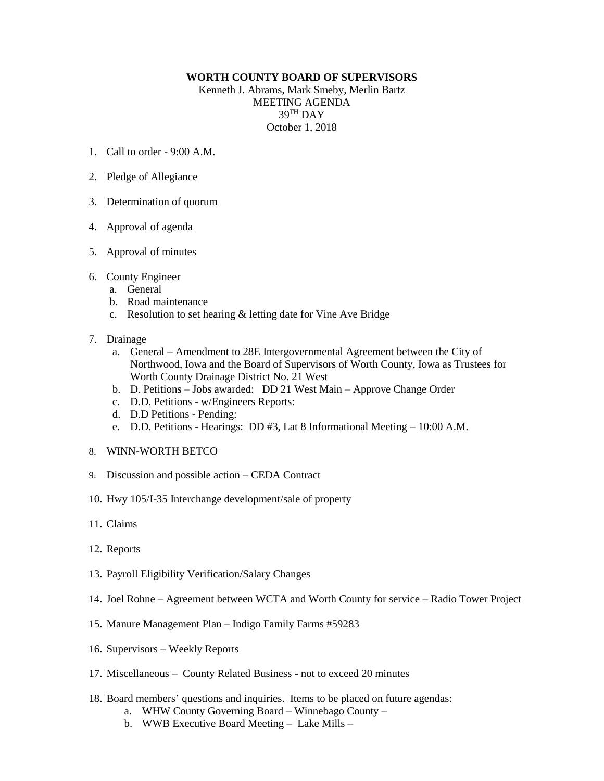## **WORTH COUNTY BOARD OF SUPERVISORS**

Kenneth J. Abrams, Mark Smeby, Merlin Bartz MEETING AGENDA  $39^{\text{TH}}$  DAY October 1, 2018

- 1. Call to order 9:00 A.M.
- 2. Pledge of Allegiance
- 3. Determination of quorum
- 4. Approval of agenda
- 5. Approval of minutes
- 6. County Engineer
	- a. General
	- b. Road maintenance
	- c. Resolution to set hearing & letting date for Vine Ave Bridge
- 7. Drainage
	- a. General Amendment to 28E Intergovernmental Agreement between the City of Northwood, Iowa and the Board of Supervisors of Worth County, Iowa as Trustees for Worth County Drainage District No. 21 West
	- b. D. Petitions Jobs awarded: DD 21 West Main Approve Change Order
	- c. D.D. Petitions w/Engineers Reports:
	- d. D.D Petitions Pending:
	- e. D.D. Petitions Hearings: DD #3, Lat 8 Informational Meeting 10:00 A.M.
- 8. WINN-WORTH BETCO
- 9. Discussion and possible action CEDA Contract
- 10. Hwy 105/I-35 Interchange development/sale of property
- 11. Claims
- 12. Reports
- 13. Payroll Eligibility Verification/Salary Changes
- 14. Joel Rohne Agreement between WCTA and Worth County for service Radio Tower Project
- 15. Manure Management Plan Indigo Family Farms #59283
- 16. Supervisors Weekly Reports
- 17. Miscellaneous County Related Business not to exceed 20 minutes
- 18. Board members' questions and inquiries. Items to be placed on future agendas:
	- a. WHW County Governing Board Winnebago County –
	- b. WWB Executive Board Meeting Lake Mills –